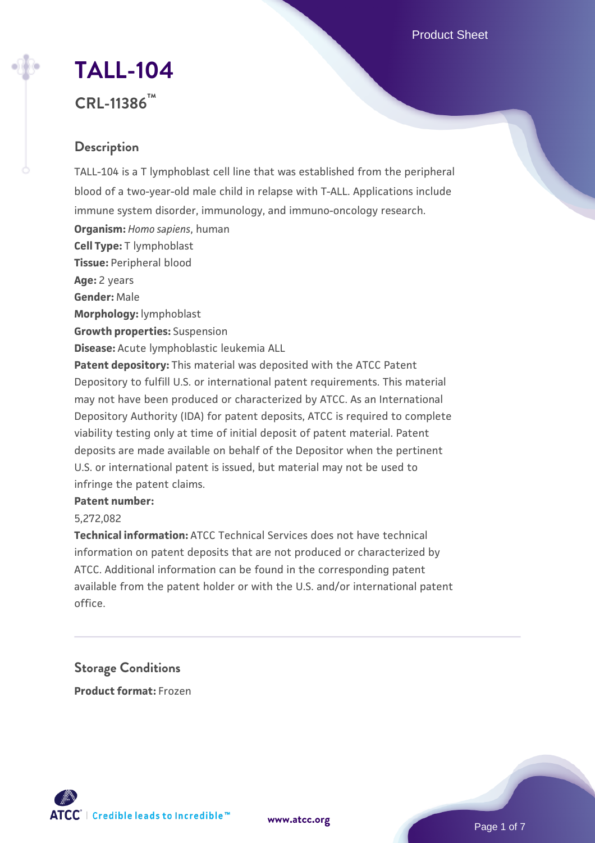Product Sheet

# **[TALL-104](https://www.atcc.org/products/crl-11386)**

# **CRL-11386™**

# **Description**

TALL-104 is a T lymphoblast cell line that was established from the peripheral blood of a two-year-old male child in relapse with T-ALL. Applications include immune system disorder, immunology, and immuno-oncology research. **Organism:** *Homo sapiens*, human **Cell Type:** T lymphoblast **Tissue:** Peripheral blood **Age:** 2 years **Gender:** Male **Morphology:** lymphoblast **Growth properties:** Suspension **Disease:** Acute lymphoblastic leukemia ALL **Patent depository:** This material was deposited with the ATCC Patent Depository to fulfill U.S. or international patent requirements. This material may not have been produced or characterized by ATCC. As an International Depository Authority (IDA) for patent deposits, ATCC is required to complete viability testing only at time of initial deposit of patent material. Patent deposits are made available on behalf of the Depositor when the pertinent U.S. or international patent is issued, but material may not be used to

# infringe the patent claims.

#### **Patent number:**

5,272,082

**Technical information:** ATCC Technical Services does not have technical information on patent deposits that are not produced or characterized by ATCC. Additional information can be found in the corresponding patent available from the patent holder or with the U.S. and/or international patent office.

**Storage Conditions Product format:** Frozen



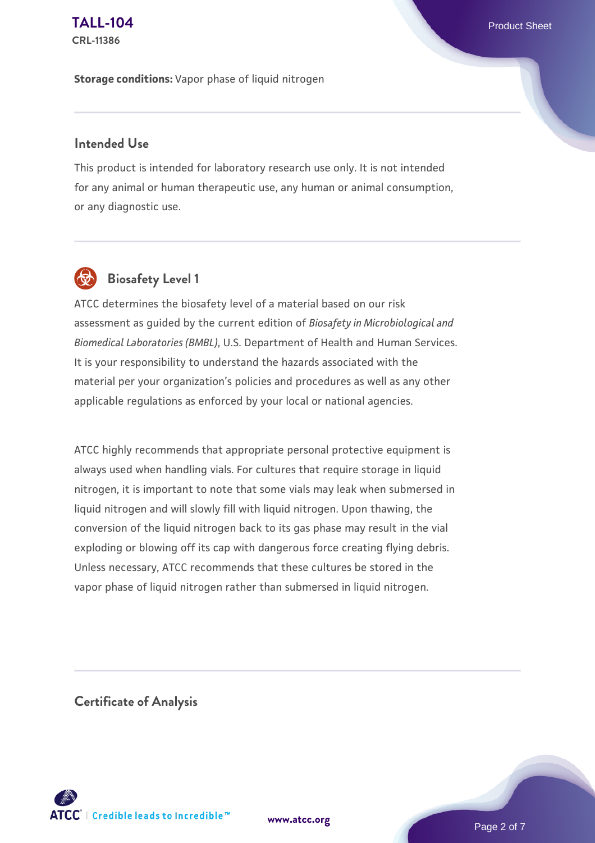**Storage conditions:** Vapor phase of liquid nitrogen

#### **Intended Use**

This product is intended for laboratory research use only. It is not intended for any animal or human therapeutic use, any human or animal consumption, or any diagnostic use.



# **Biosafety Level 1**

ATCC determines the biosafety level of a material based on our risk assessment as guided by the current edition of *Biosafety in Microbiological and Biomedical Laboratories (BMBL)*, U.S. Department of Health and Human Services. It is your responsibility to understand the hazards associated with the material per your organization's policies and procedures as well as any other applicable regulations as enforced by your local or national agencies.

ATCC highly recommends that appropriate personal protective equipment is always used when handling vials. For cultures that require storage in liquid nitrogen, it is important to note that some vials may leak when submersed in liquid nitrogen and will slowly fill with liquid nitrogen. Upon thawing, the conversion of the liquid nitrogen back to its gas phase may result in the vial exploding or blowing off its cap with dangerous force creating flying debris. Unless necessary, ATCC recommends that these cultures be stored in the vapor phase of liquid nitrogen rather than submersed in liquid nitrogen.

**Certificate of Analysis**

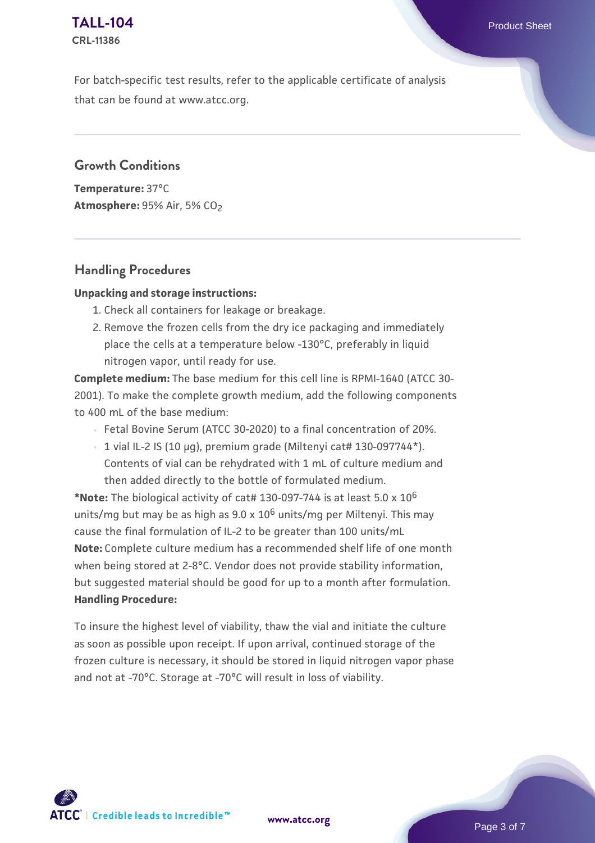For batch-specific test results, refer to the applicable certificate of analysis that can be found at www.atcc.org.

#### **Growth Conditions**

**Temperature:** 37°C **Atmosphere: 95% Air, 5% CO<sub>2</sub>** 

## **Handling Procedures**

#### **Unpacking and storage instructions:**

- 1. Check all containers for leakage or breakage.
- 2. Remove the frozen cells from the dry ice packaging and immediately place the cells at a temperature below -130°C, preferably in liquid nitrogen vapor, until ready for use.

**Complete medium:** The base medium for this cell line is RPMI-1640 (ATCC 30- 2001). To make the complete growth medium, add the following components to 400 mL of the base medium:

- Fetal Bovine Serum (ATCC 30-2020) to a final concentration of 20%.
- $\,$   $\,$  1 vial IL-2 IS (10 µg), premium grade (Miltenyi cat# 130-097744\*). Contents of vial can be rehydrated with 1 mL of culture medium and then added directly to the bottle of formulated medium.

**\*Note:** The biological activity of cat# 130-097-744 is at least 5.0 x 10<sup>6</sup> units/mg but may be as high as  $9.0 \times 10^6$  units/mg per Miltenyi. This may cause the final formulation of IL-2 to be greater than 100 units/mL **Note:** Complete culture medium has a recommended shelf life of one month when being stored at 2-8°C. Vendor does not provide stability information, but suggested material should be good for up to a month after formulation. **Handling Procedure:**

To insure the highest level of viability, thaw the vial and initiate the culture as soon as possible upon receipt. If upon arrival, continued storage of the frozen culture is necessary, it should be stored in liquid nitrogen vapor phase and not at -70°C. Storage at -70°C will result in loss of viability.

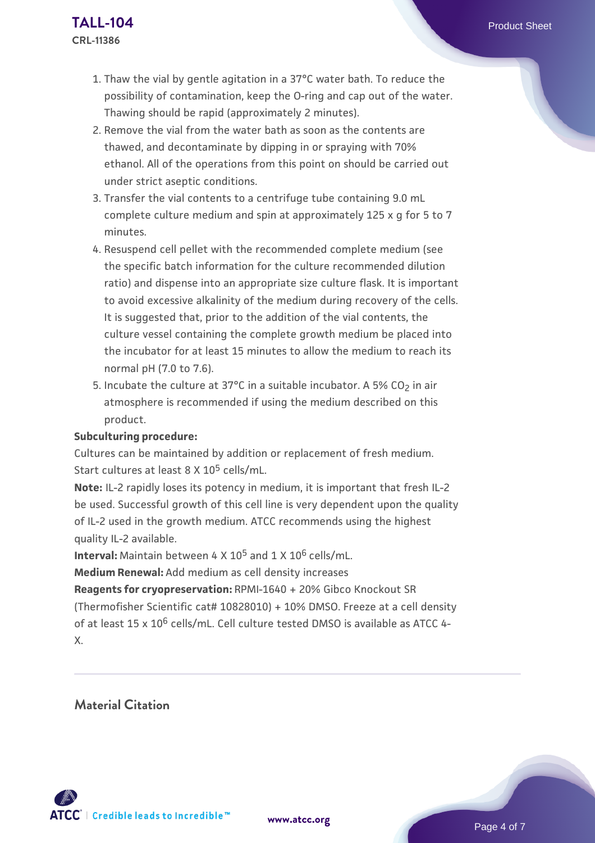- 1. Thaw the vial by gentle agitation in a 37°C water bath. To reduce the possibility of contamination, keep the O-ring and cap out of the water. Thawing should be rapid (approximately 2 minutes).
- 2. Remove the vial from the water bath as soon as the contents are thawed, and decontaminate by dipping in or spraying with 70% ethanol. All of the operations from this point on should be carried out under strict aseptic conditions.
- 3. Transfer the vial contents to a centrifuge tube containing 9.0 mL complete culture medium and spin at approximately 125 x g for 5 to 7 minutes.
- 4. Resuspend cell pellet with the recommended complete medium (see the specific batch information for the culture recommended dilution ratio) and dispense into an appropriate size culture flask. It is important to avoid excessive alkalinity of the medium during recovery of the cells. It is suggested that, prior to the addition of the vial contents, the culture vessel containing the complete growth medium be placed into the incubator for at least 15 minutes to allow the medium to reach its normal pH (7.0 to 7.6).
- 5. Incubate the culture at 37°C in a suitable incubator. A 5% CO<sub>2</sub> in air atmosphere is recommended if using the medium described on this product.

#### **Subculturing procedure:**

Cultures can be maintained by addition or replacement of fresh medium. Start cultures at least 8 X 10<sup>5</sup> cells/mL.

**Note:** IL-2 rapidly loses its potency in medium, it is important that fresh IL-2 be used. Successful growth of this cell line is very dependent upon the quality of IL-2 used in the growth medium. ATCC recommends using the highest quality IL-2 available.

**Interval:** Maintain between 4 X 105 and 1 X 106 cells/mL.

**Medium Renewal:** Add medium as cell density increases

**Reagents for cryopreservation:** RPMI-1640 + 20% Gibco Knockout SR (Thermofisher Scientific cat# 10828010) + 10% DMSO. Freeze at a cell density of at least 15 x  $10^6$  cells/mL. Cell culture tested DMSO is available as ATCC 4-X.

**Material Citation**

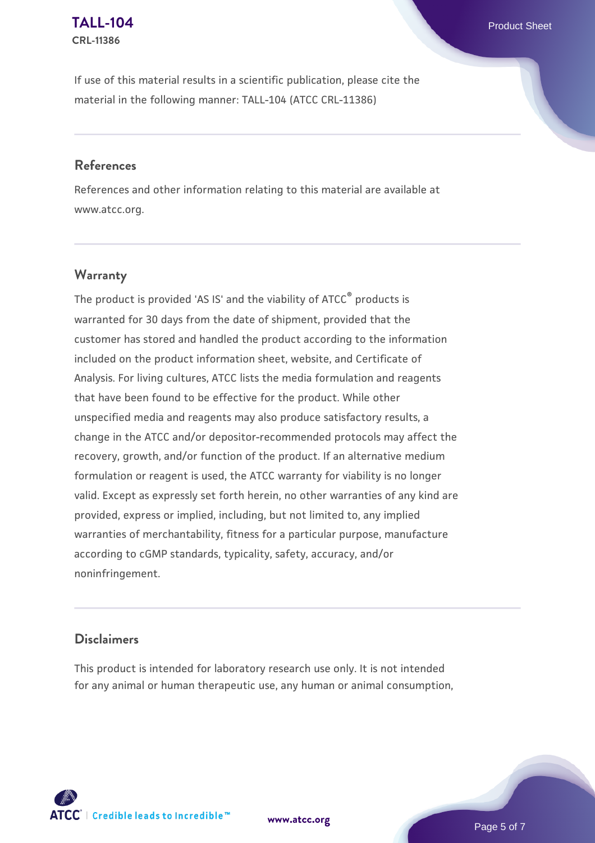If use of this material results in a scientific publication, please cite the material in the following manner: TALL-104 (ATCC CRL-11386)

#### **References**

References and other information relating to this material are available at www.atcc.org.

## **Warranty**

The product is provided 'AS IS' and the viability of  $ATCC<sup>®</sup>$  products is warranted for 30 days from the date of shipment, provided that the customer has stored and handled the product according to the information included on the product information sheet, website, and Certificate of Analysis. For living cultures, ATCC lists the media formulation and reagents that have been found to be effective for the product. While other unspecified media and reagents may also produce satisfactory results, a change in the ATCC and/or depositor-recommended protocols may affect the recovery, growth, and/or function of the product. If an alternative medium formulation or reagent is used, the ATCC warranty for viability is no longer valid. Except as expressly set forth herein, no other warranties of any kind are provided, express or implied, including, but not limited to, any implied warranties of merchantability, fitness for a particular purpose, manufacture according to cGMP standards, typicality, safety, accuracy, and/or noninfringement.

#### **Disclaimers**

This product is intended for laboratory research use only. It is not intended for any animal or human therapeutic use, any human or animal consumption,



Page 5 of 7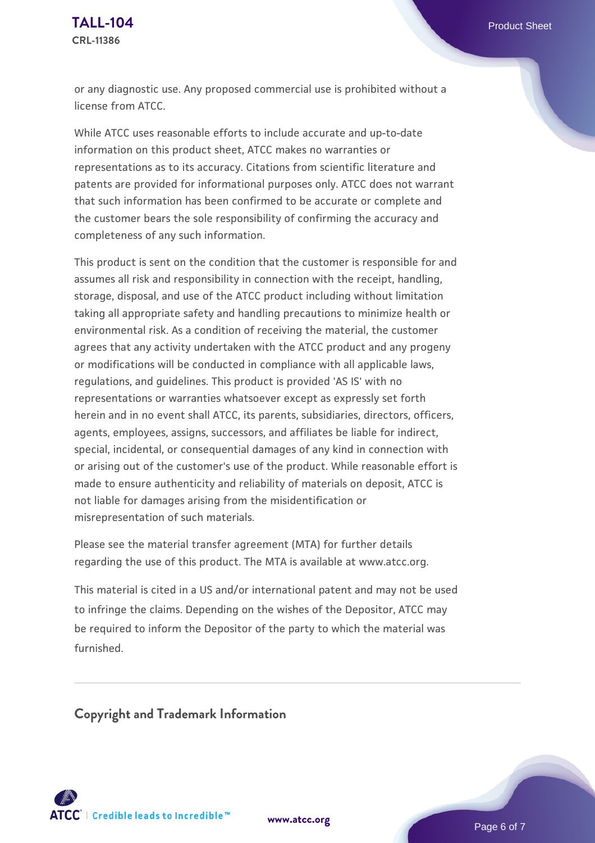or any diagnostic use. Any proposed commercial use is prohibited without a license from ATCC.

While ATCC uses reasonable efforts to include accurate and up-to-date information on this product sheet, ATCC makes no warranties or representations as to its accuracy. Citations from scientific literature and patents are provided for informational purposes only. ATCC does not warrant that such information has been confirmed to be accurate or complete and the customer bears the sole responsibility of confirming the accuracy and completeness of any such information.

This product is sent on the condition that the customer is responsible for and assumes all risk and responsibility in connection with the receipt, handling, storage, disposal, and use of the ATCC product including without limitation taking all appropriate safety and handling precautions to minimize health or environmental risk. As a condition of receiving the material, the customer agrees that any activity undertaken with the ATCC product and any progeny or modifications will be conducted in compliance with all applicable laws, regulations, and guidelines. This product is provided 'AS IS' with no representations or warranties whatsoever except as expressly set forth herein and in no event shall ATCC, its parents, subsidiaries, directors, officers, agents, employees, assigns, successors, and affiliates be liable for indirect, special, incidental, or consequential damages of any kind in connection with or arising out of the customer's use of the product. While reasonable effort is made to ensure authenticity and reliability of materials on deposit, ATCC is not liable for damages arising from the misidentification or misrepresentation of such materials.

Please see the material transfer agreement (MTA) for further details regarding the use of this product. The MTA is available at www.atcc.org.

This material is cited in a US and/or international patent and may not be used to infringe the claims. Depending on the wishes of the Depositor, ATCC may be required to inform the Depositor of the party to which the material was furnished.

**Copyright and Trademark Information**